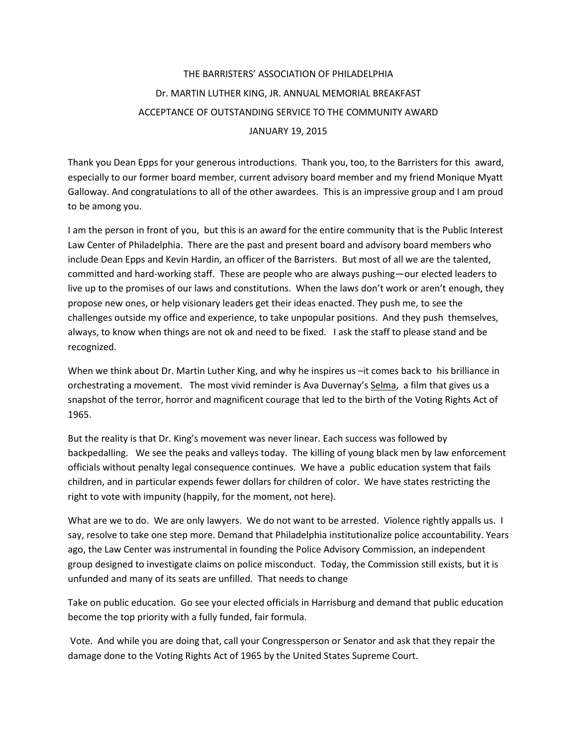## THE BARRISTERS' ASSOCIATION OF PHILADELPHIA Dr. MARTIN LUTHER KING, JR. ANNUAL MEMORIAL BREAKFAST ACCEPTANCE OF OUTSTANDING SERVICE TO THE COMMUNITY AWARD JANUARY 19, 2015

Thank you Dean Epps for your generous introductions. Thank you, too, to the Barristers for this award, especially to our former board member, current advisory board member and my friend Monique Myatt Galloway. And congratulations to all of the other awardees. This is an impressive group and I am proud to be among you.

I am the person in front of you, but this is an award for the entire community that is the Public Interest Law Center of Philadelphia. There are the past and present board and advisory board members who include Dean Epps and Kevin Hardin, an officer of the Barristers. But most of all we are the talented, committed and hard-working staff. These are people who are always pushing—our elected leaders to live up to the promises of our laws and constitutions. When the laws don't work or aren't enough, they propose new ones, or help visionary leaders get their ideas enacted. They push me, to see the challenges outside my office and experience, to take unpopular positions. And they push themselves, always, to know when things are not ok and need to be fixed. I ask the staff to please stand and be recognized.

When we think about Dr. Martin Luther King, and why he inspires us –it comes back to his brilliance in orchestrating a movement. The most vivid reminder is Ava Duvernay's Selma, a film that gives us a snapshot of the terror, horror and magnificent courage that led to the birth of the Voting Rights Act of 1965.

But the reality is that Dr. King's movement was never linear. Each success was followed by backpedalling. We see the peaks and valleys today. The killing of young black men by law enforcement officials without penalty legal consequence continues. We have a public education system that fails children, and in particular expends fewer dollars for children of color. We have states restricting the right to vote with impunity (happily, for the moment, not here).

What are we to do. We are only lawyers. We do not want to be arrested. Violence rightly appalls us. I say, resolve to take one step more. Demand that Philadelphia institutionalize police accountability. Years ago, the Law Center was instrumental in founding the Police Advisory Commission, an independent group designed to investigate claims on police misconduct. Today, the Commission still exists, but it is unfunded and many of its seats are unfilled. That needs to change

Take on public education. Go see your elected officials in Harrisburg and demand that public education become the top priority with a fully funded, fair formula.

Vote. And while you are doing that, call your Congressperson or Senator and ask that they repair the damage done to the Voting Rights Act of 1965 by the United States Supreme Court.